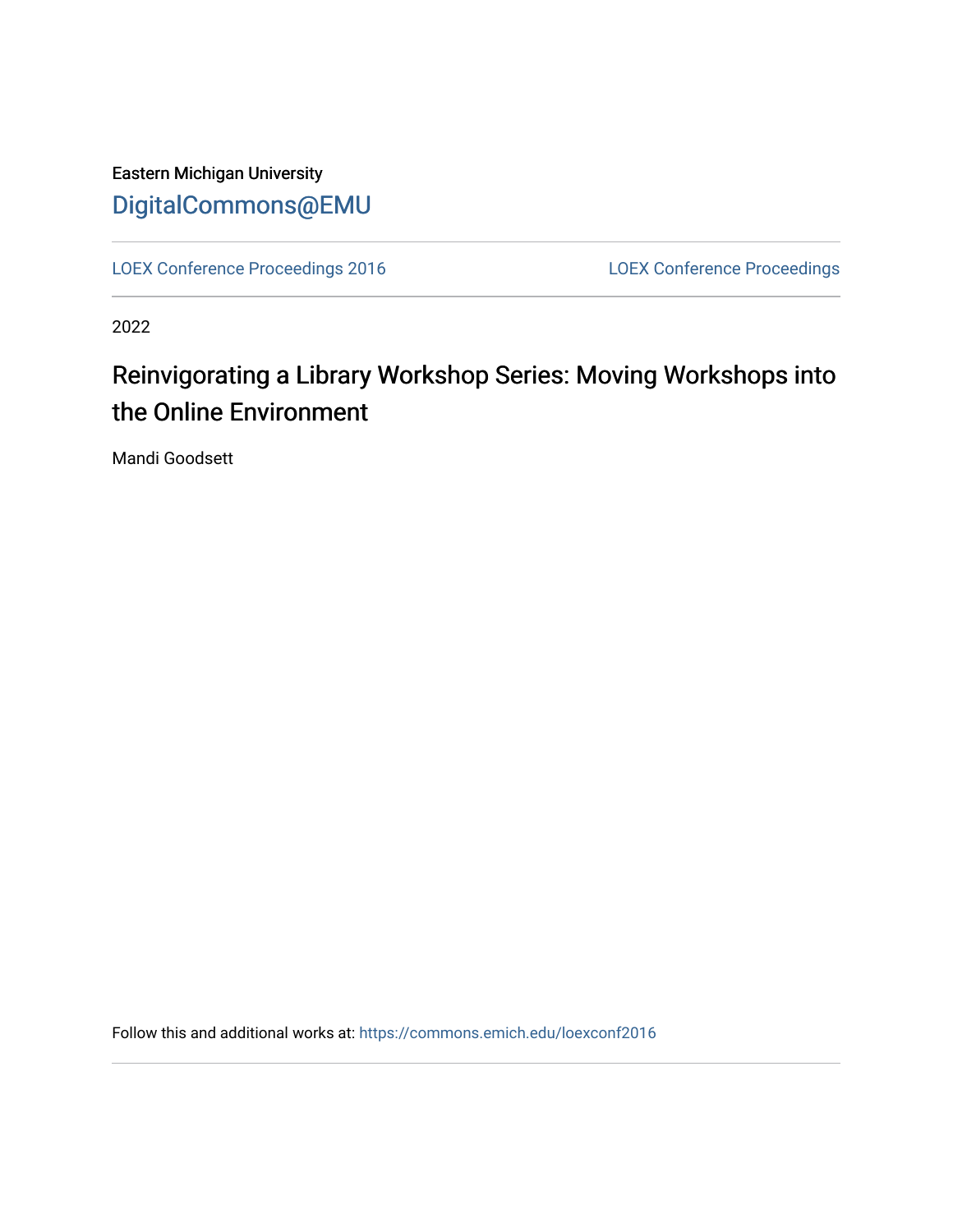Eastern Michigan University [DigitalCommons@EMU](https://commons.emich.edu/) 

[LOEX Conference Proceedings 2016](https://commons.emich.edu/loexconf2016) [LOEX Conference Proceedings](https://commons.emich.edu/loexconf) 

2022

# Reinvigorating a Library Workshop Series: Moving Workshops into the Online Environment

Mandi Goodsett

Follow this and additional works at: [https://commons.emich.edu/loexconf2016](https://commons.emich.edu/loexconf2016?utm_source=commons.emich.edu%2Floexconf2016%2F18&utm_medium=PDF&utm_campaign=PDFCoverPages)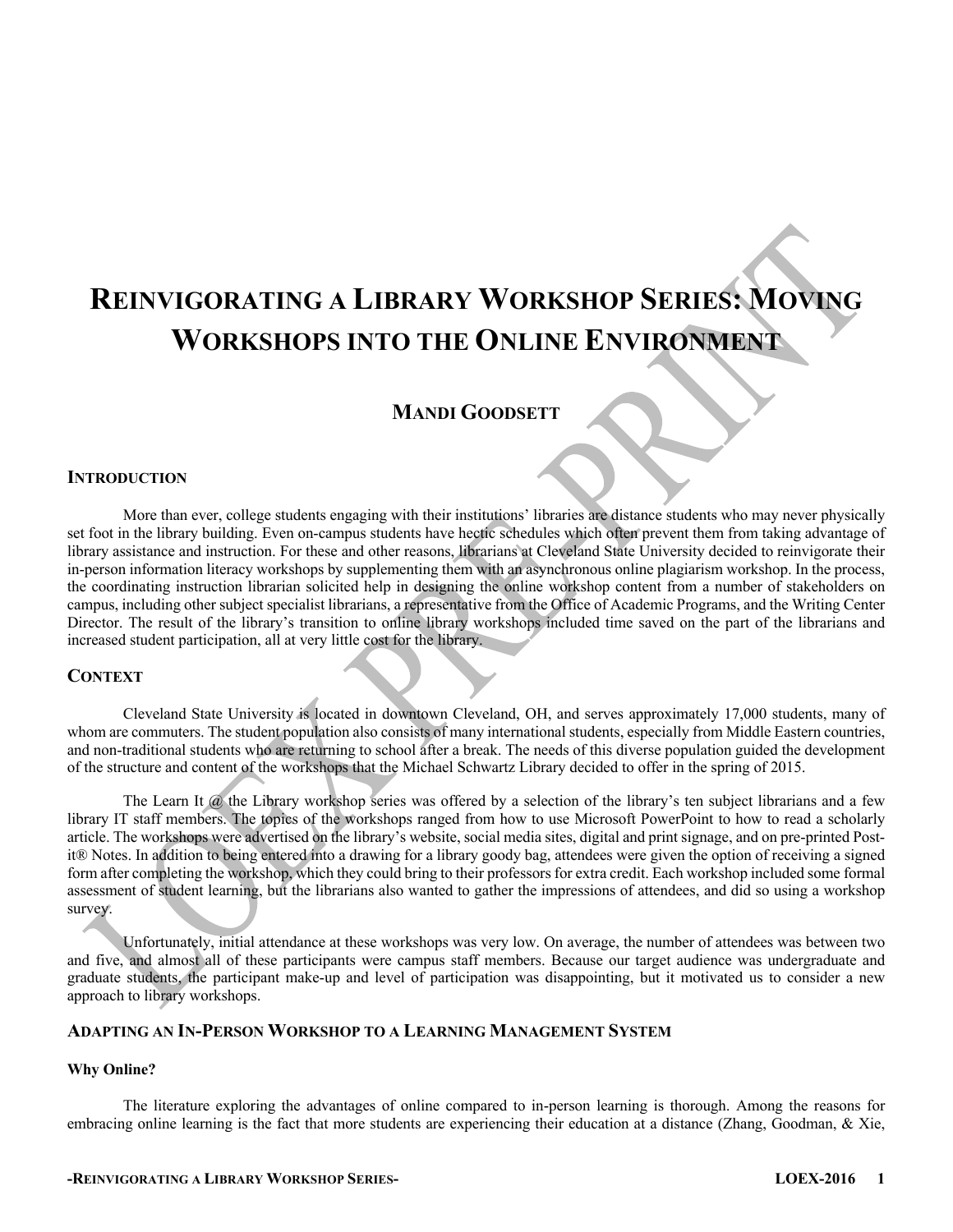# **REINVIGORATING A LIBRARY WORKSHOP SERIES: MOVING WORKSHOPS INTO THE ONLINE ENVIRONMENT**

## **MANDI GOODSETT**

#### **INTRODUCTION**

More than ever, college students engaging with their institutions' libraries are distance students who may never physically set foot in the library building. Even on-campus students have hectic schedules which often prevent them from taking advantage of library assistance and instruction. For these and other reasons, librarians at Cleveland State University decided to reinvigorate their in-person information literacy workshops by supplementing them with an asynchronous online plagiarism workshop. In the process, the coordinating instruction librarian solicited help in designing the online workshop content from a number of stakeholders on campus, including other subject specialist librarians, a representative from the Office of Academic Programs, and the Writing Center Director. The result of the library's transition to online library workshops included time saved on the part of the librarians and increased student participation, all at very little cost for the library.

### **CONTEXT**

Cleveland State University is located in downtown Cleveland, OH, and serves approximately 17,000 students, many of whom are commuters. The student population also consists of many international students, especially from Middle Eastern countries, and non-traditional students who are returning to school after a break. The needs of this diverse population guided the development of the structure and content of the workshops that the Michael Schwartz Library decided to offer in the spring of 2015.

The Learn It @ the Library workshop series was offered by a selection of the library's ten subject librarians and a few library IT staff members. The topics of the workshops ranged from how to use Microsoft PowerPoint to how to read a scholarly article. The workshops were advertised on the library's website, social media sites, digital and print signage, and on pre-printed Postit® Notes. In addition to being entered into a drawing for a library goody bag, attendees were given the option of receiving a signed form after completing the workshop, which they could bring to their professors for extra credit. Each workshop included some formal assessment of student learning, but the librarians also wanted to gather the impressions of attendees, and did so using a workshop survey.

Unfortunately, initial attendance at these workshops was very low. On average, the number of attendees was between two and five, and almost all of these participants were campus staff members. Because our target audience was undergraduate and graduate students, the participant make-up and level of participation was disappointing, but it motivated us to consider a new approach to library workshops.

#### **ADAPTING AN IN-PERSON WORKSHOP TO A LEARNING MANAGEMENT SYSTEM**

#### **Why Online?**

The literature exploring the advantages of online compared to in-person learning is thorough. Among the reasons for embracing online learning is the fact that more students are experiencing their education at a distance (Zhang, Goodman, & Xie,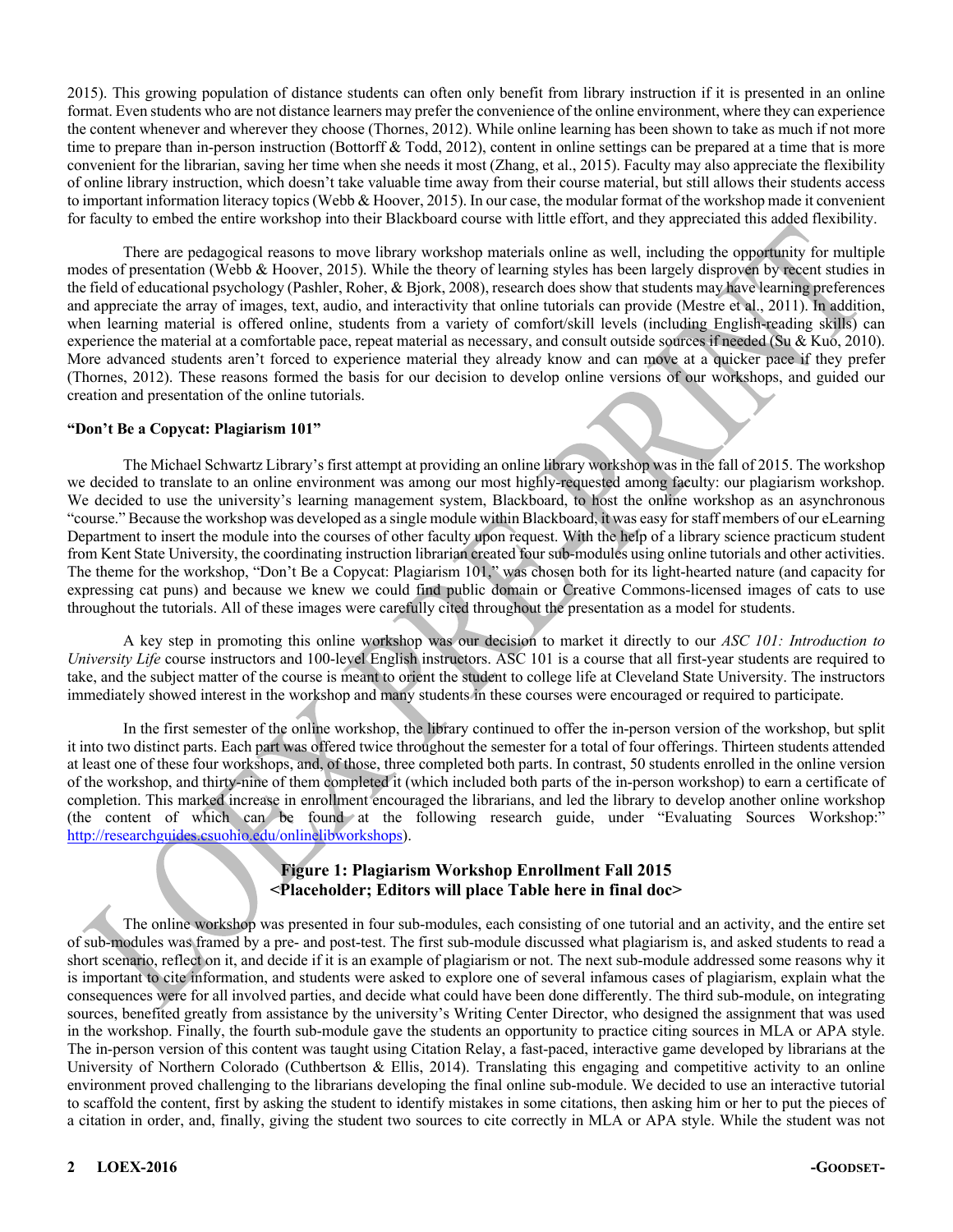2015). This growing population of distance students can often only benefit from library instruction if it is presented in an online format. Even students who are not distance learners may prefer the convenience of the online environment, where they can experience the content whenever and wherever they choose (Thornes, 2012). While online learning has been shown to take as much if not more time to prepare than in-person instruction (Bottorff & Todd, 2012), content in online settings can be prepared at a time that is more convenient for the librarian, saving her time when she needs it most (Zhang, et al., 2015). Faculty may also appreciate the flexibility of online library instruction, which doesn't take valuable time away from their course material, but still allows their students access to important information literacy topics (Webb & Hoover, 2015). In our case, the modular format of the workshop made it convenient for faculty to embed the entire workshop into their Blackboard course with little effort, and they appreciated this added flexibility.

There are pedagogical reasons to move library workshop materials online as well, including the opportunity for multiple modes of presentation (Webb & Hoover, 2015). While the theory of learning styles has been largely disproven by recent studies in the field of educational psychology (Pashler, Roher, & Bjork, 2008), research does show that students may have learning preferences and appreciate the array of images, text, audio, and interactivity that online tutorials can provide (Mestre et al., 2011). In addition, when learning material is offered online, students from a variety of comfort/skill levels (including English-reading skills) can experience the material at a comfortable pace, repeat material as necessary, and consult outside sources if needed (Su & Kuo, 2010). More advanced students aren't forced to experience material they already know and can move at a quicker pace if they prefer (Thornes, 2012). These reasons formed the basis for our decision to develop online versions of our workshops, and guided our creation and presentation of the online tutorials.

#### **"Don't Be a Copycat: Plagiarism 101"**

The Michael Schwartz Library's first attempt at providing an online library workshop was in the fall of 2015. The workshop we decided to translate to an online environment was among our most highly-requested among faculty: our plagiarism workshop. We decided to use the university's learning management system, Blackboard, to host the online workshop as an asynchronous "course." Because the workshop was developed as a single module within Blackboard, it was easy for staff members of our eLearning Department to insert the module into the courses of other faculty upon request. With the help of a library science practicum student from Kent State University, the coordinating instruction librarian created four sub-modules using online tutorials and other activities. The theme for the workshop, "Don't Be a Copycat: Plagiarism 101," was chosen both for its light-hearted nature (and capacity for expressing cat puns) and because we knew we could find public domain or Creative Commons-licensed images of cats to use throughout the tutorials. All of these images were carefully cited throughout the presentation as a model for students.

A key step in promoting this online workshop was our decision to market it directly to our *ASC 101: Introduction to University Life* course instructors and 100-level English instructors. ASC 101 is a course that all first-year students are required to take, and the subject matter of the course is meant to orient the student to college life at Cleveland State University. The instructors immediately showed interest in the workshop and many students in these courses were encouraged or required to participate.

In the first semester of the online workshop, the library continued to offer the in-person version of the workshop, but split it into two distinct parts. Each part was offered twice throughout the semester for a total of four offerings. Thirteen students attended at least one of these four workshops, and, of those, three completed both parts. In contrast, 50 students enrolled in the online version of the workshop, and thirty-nine of them completed it (which included both parts of the in-person workshop) to earn a certificate of completion. This marked increase in enrollment encouraged the librarians, and led the library to develop another online workshop (the content of which can be found at the following research guide, under "Evaluating Sources Workshop:" http://researchguides.csuohio.edu/onlinelibworkshops).

## **Figure 1: Plagiarism Workshop Enrollment Fall 2015 <Placeholder; Editors will place Table here in final doc>**

The online workshop was presented in four sub-modules, each consisting of one tutorial and an activity, and the entire set of sub-modules was framed by a pre- and post-test. The first sub-module discussed what plagiarism is, and asked students to read a short scenario, reflect on it, and decide if it is an example of plagiarism or not. The next sub-module addressed some reasons why it is important to cite information, and students were asked to explore one of several infamous cases of plagiarism, explain what the consequences were for all involved parties, and decide what could have been done differently. The third sub-module, on integrating sources, benefited greatly from assistance by the university's Writing Center Director, who designed the assignment that was used in the workshop. Finally, the fourth sub-module gave the students an opportunity to practice citing sources in MLA or APA style. The in-person version of this content was taught using Citation Relay, a fast-paced, interactive game developed by librarians at the University of Northern Colorado (Cuthbertson & Ellis, 2014). Translating this engaging and competitive activity to an online environment proved challenging to the librarians developing the final online sub-module. We decided to use an interactive tutorial to scaffold the content, first by asking the student to identify mistakes in some citations, then asking him or her to put the pieces of a citation in order, and, finally, giving the student two sources to cite correctly in MLA or APA style. While the student was not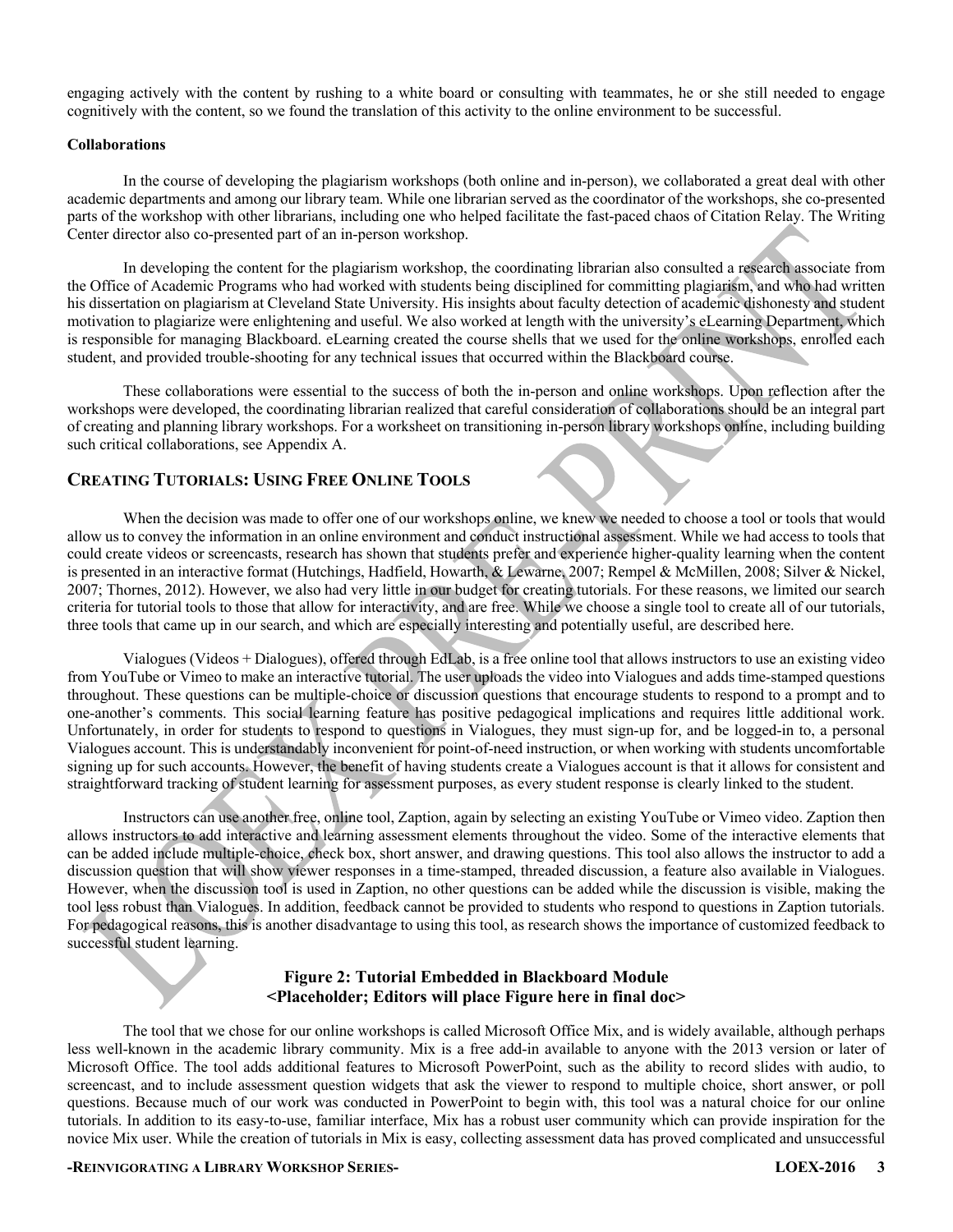engaging actively with the content by rushing to a white board or consulting with teammates, he or she still needed to engage cognitively with the content, so we found the translation of this activity to the online environment to be successful.

#### **Collaborations**

In the course of developing the plagiarism workshops (both online and in-person), we collaborated a great deal with other academic departments and among our library team. While one librarian served as the coordinator of the workshops, she co-presented parts of the workshop with other librarians, including one who helped facilitate the fast-paced chaos of Citation Relay. The Writing Center director also co-presented part of an in-person workshop.

In developing the content for the plagiarism workshop, the coordinating librarian also consulted a research associate from the Office of Academic Programs who had worked with students being disciplined for committing plagiarism, and who had written his dissertation on plagiarism at Cleveland State University. His insights about faculty detection of academic dishonesty and student motivation to plagiarize were enlightening and useful. We also worked at length with the university's eLearning Department, which is responsible for managing Blackboard. eLearning created the course shells that we used for the online workshops, enrolled each student, and provided trouble-shooting for any technical issues that occurred within the Blackboard course.

These collaborations were essential to the success of both the in-person and online workshops. Upon reflection after the workshops were developed, the coordinating librarian realized that careful consideration of collaborations should be an integral part of creating and planning library workshops. For a worksheet on transitioning in-person library workshops online, including building such critical collaborations, see Appendix A.

## **CREATING TUTORIALS: USING FREE ONLINE TOOLS**

When the decision was made to offer one of our workshops online, we knew we needed to choose a tool or tools that would allow us to convey the information in an online environment and conduct instructional assessment. While we had access to tools that could create videos or screencasts, research has shown that students prefer and experience higher-quality learning when the content is presented in an interactive format (Hutchings, Hadfield, Howarth, & Lewarne, 2007; Rempel & McMillen, 2008; Silver & Nickel, 2007; Thornes, 2012). However, we also had very little in our budget for creating tutorials. For these reasons, we limited our search criteria for tutorial tools to those that allow for interactivity, and are free. While we choose a single tool to create all of our tutorials, three tools that came up in our search, and which are especially interesting and potentially useful, are described here.

Vialogues (Videos + Dialogues), offered through EdLab, is a free online tool that allows instructors to use an existing video from YouTube or Vimeo to make an interactive tutorial. The user uploads the video into Vialogues and adds time-stamped questions throughout. These questions can be multiple-choice or discussion questions that encourage students to respond to a prompt and to one-another's comments. This social learning feature has positive pedagogical implications and requires little additional work. Unfortunately, in order for students to respond to questions in Vialogues, they must sign-up for, and be logged-in to, a personal Vialogues account. This is understandably inconvenient for point-of-need instruction, or when working with students uncomfortable signing up for such accounts. However, the benefit of having students create a Vialogues account is that it allows for consistent and straightforward tracking of student learning for assessment purposes, as every student response is clearly linked to the student.

Instructors can use another free, online tool, Zaption, again by selecting an existing YouTube or Vimeo video. Zaption then allows instructors to add interactive and learning assessment elements throughout the video. Some of the interactive elements that can be added include multiple-choice, check box, short answer, and drawing questions. This tool also allows the instructor to add a discussion question that will show viewer responses in a time-stamped, threaded discussion, a feature also available in Vialogues. However, when the discussion tool is used in Zaption, no other questions can be added while the discussion is visible, making the tool less robust than Vialogues. In addition, feedback cannot be provided to students who respond to questions in Zaption tutorials. For pedagogical reasons, this is another disadvantage to using this tool, as research shows the importance of customized feedback to successful student learning.

#### **Figure 2: Tutorial Embedded in Blackboard Module <Placeholder; Editors will place Figure here in final doc>**

The tool that we chose for our online workshops is called Microsoft Office Mix, and is widely available, although perhaps less well-known in the academic library community. Mix is a free add-in available to anyone with the 2013 version or later of Microsoft Office. The tool adds additional features to Microsoft PowerPoint, such as the ability to record slides with audio, to screencast, and to include assessment question widgets that ask the viewer to respond to multiple choice, short answer, or poll questions. Because much of our work was conducted in PowerPoint to begin with, this tool was a natural choice for our online tutorials. In addition to its easy-to-use, familiar interface, Mix has a robust user community which can provide inspiration for the novice Mix user. While the creation of tutorials in Mix is easy, collecting assessment data has proved complicated and unsuccessful

#### **-REINVIGORATING A LIBRARY WORKSHOP SERIES- LOEX-2016 3**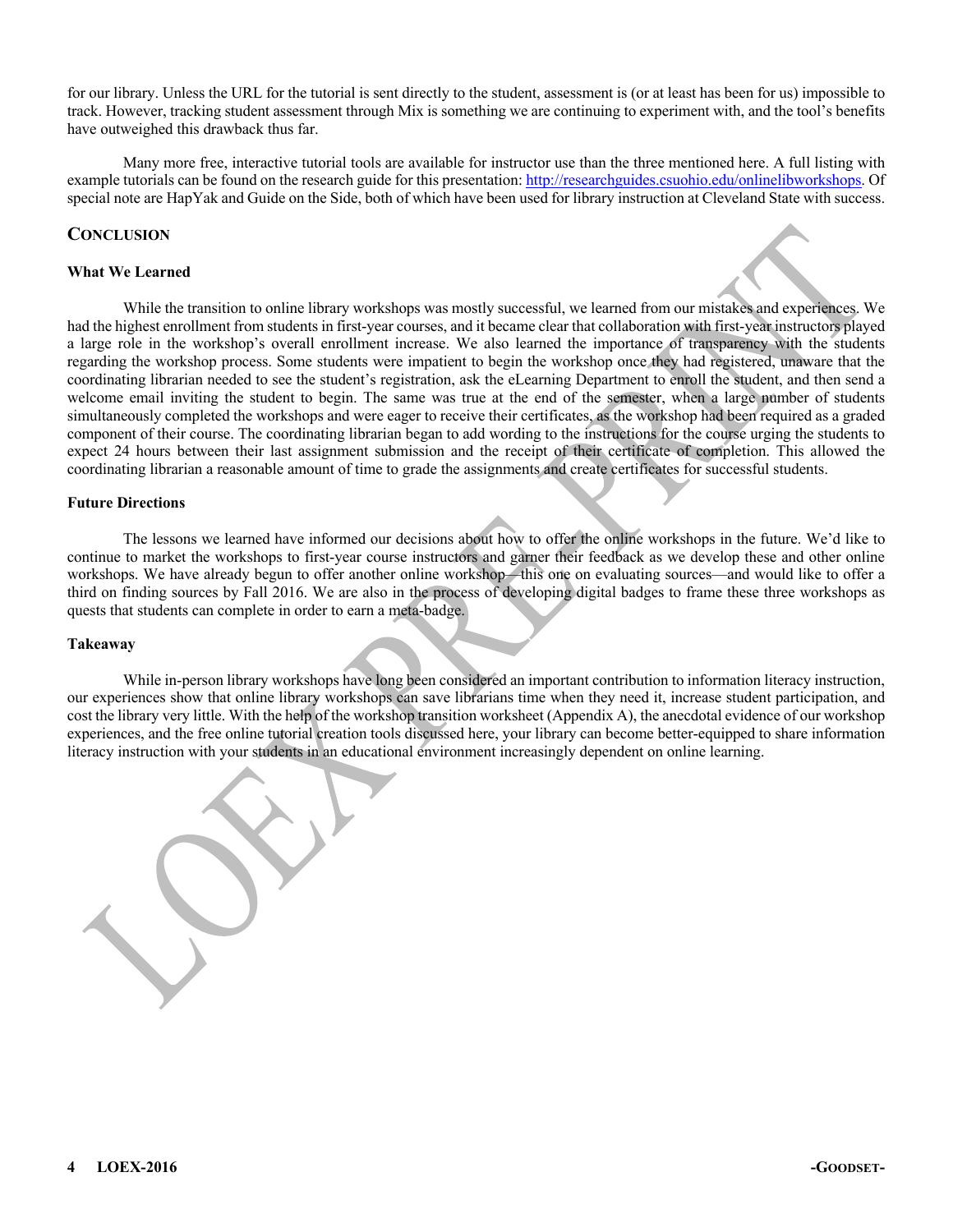for our library. Unless the URL for the tutorial is sent directly to the student, assessment is (or at least has been for us) impossible to track. However, tracking student assessment through Mix is something we are continuing to experiment with, and the tool's benefits have outweighed this drawback thus far.

Many more free, interactive tutorial tools are available for instructor use than the three mentioned here. A full listing with example tutorials can be found on the research guide for this presentation: http://researchguides.csuohio.edu/onlinelibworkshops. Of special note are HapYak and Guide on the Side, both of which have been used for library instruction at Cleveland State with success.

#### **CONCLUSION**

#### **What We Learned**

While the transition to online library workshops was mostly successful, we learned from our mistakes and experiences. We had the highest enrollment from students in first-year courses, and it became clear that collaboration with first-year instructors played a large role in the workshop's overall enrollment increase. We also learned the importance of transparency with the students regarding the workshop process. Some students were impatient to begin the workshop once they had registered, unaware that the coordinating librarian needed to see the student's registration, ask the eLearning Department to enroll the student, and then send a welcome email inviting the student to begin. The same was true at the end of the semester, when a large number of students simultaneously completed the workshops and were eager to receive their certificates, as the workshop had been required as a graded component of their course. The coordinating librarian began to add wording to the instructions for the course urging the students to expect 24 hours between their last assignment submission and the receipt of their certificate of completion. This allowed the coordinating librarian a reasonable amount of time to grade the assignments and create certificates for successful students.

#### **Future Directions**

The lessons we learned have informed our decisions about how to offer the online workshops in the future. We'd like to continue to market the workshops to first-year course instructors and garner their feedback as we develop these and other online workshops. We have already begun to offer another online workshop—this one on evaluating sources—and would like to offer a third on finding sources by Fall 2016. We are also in the process of developing digital badges to frame these three workshops as quests that students can complete in order to earn a meta-badge.

#### **Takeaway**

While in-person library workshops have long been considered an important contribution to information literacy instruction, our experiences show that online library workshops can save librarians time when they need it, increase student participation, and cost the library very little. With the help of the workshop transition worksheet (Appendix A), the anecdotal evidence of our workshop experiences, and the free online tutorial creation tools discussed here, your library can become better-equipped to share information literacy instruction with your students in an educational environment increasingly dependent on online learning.

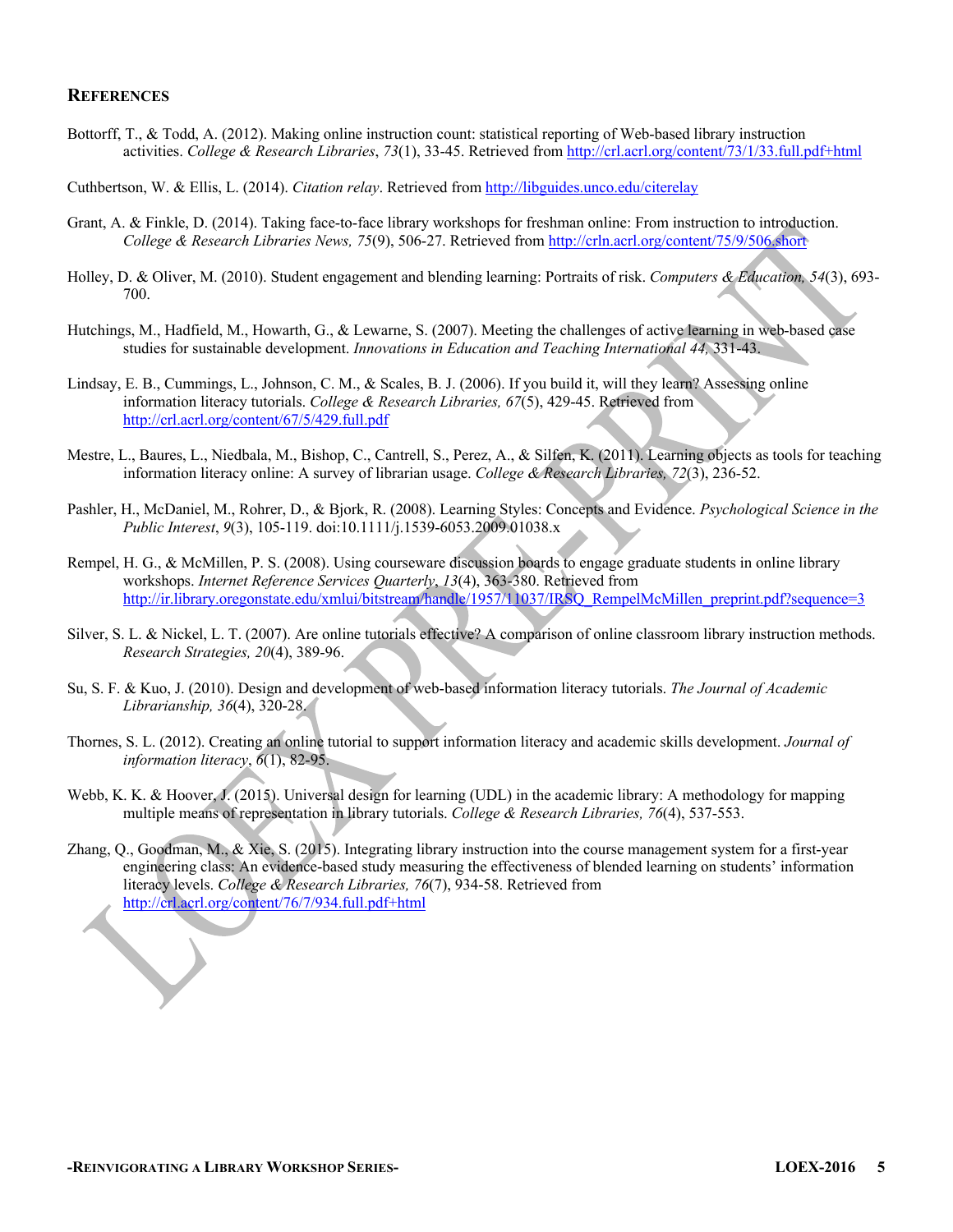#### **REFERENCES**

Bottorff, T., & Todd, A. (2012). Making online instruction count: statistical reporting of Web-based library instruction activities. *College & Research Libraries*, *73*(1), 33-45. Retrieved from http://crl.acrl.org/content/73/1/33.full.pdf+html

Cuthbertson, W. & Ellis, L. (2014). *Citation relay*. Retrieved from http://libguides.unco.edu/citerelay

- Grant, A. & Finkle, D. (2014). Taking face-to-face library workshops for freshman online: From instruction to introduction. *College & Research Libraries News, 75*(9), 506-27. Retrieved from http://crln.acrl.org/content/75/9/506.short
- Holley, D. & Oliver, M. (2010). Student engagement and blending learning: Portraits of risk. *Computers & Education, 54*(3), 693- 700.
- Hutchings, M., Hadfield, M., Howarth, G., & Lewarne, S. (2007). Meeting the challenges of active learning in web-based case studies for sustainable development. *Innovations in Education and Teaching International 44,* 331-43.
- Lindsay, E. B., Cummings, L., Johnson, C. M., & Scales, B. J. (2006). If you build it, will they learn? Assessing online information literacy tutorials. *College & Research Libraries, 67*(5), 429-45. Retrieved from http://crl.acrl.org/content/67/5/429.full.pdf
- Mestre, L., Baures, L., Niedbala, M., Bishop, C., Cantrell, S., Perez, A., & Silfen, K. (2011). Learning objects as tools for teaching information literacy online: A survey of librarian usage. *College & Research Libraries, 72*(3), 236-52.
- Pashler, H., McDaniel, M., Rohrer, D., & Bjork, R. (2008). Learning Styles: Concepts and Evidence. *Psychological Science in the Public Interest*, *9*(3), 105-119. doi:10.1111/j.1539-6053.2009.01038.x
- Rempel, H. G., & McMillen, P. S. (2008). Using courseware discussion boards to engage graduate students in online library workshops. *Internet Reference Services Quarterly*, *13*(4), 363-380. Retrieved from http://ir.library.oregonstate.edu/xmlui/bitstream/handle/1957/11037/IRSQ\_RempelMcMillen\_preprint.pdf?sequence=3
- Silver, S. L. & Nickel, L. T. (2007). Are online tutorials effective? A comparison of online classroom library instruction methods. *Research Strategies, 20*(4), 389-96.
- Su, S. F. & Kuo, J. (2010). Design and development of web-based information literacy tutorials. *The Journal of Academic Librarianship, 36*(4), 320-28.
- Thornes, S. L. (2012). Creating an online tutorial to support information literacy and academic skills development. *Journal of information literacy*, *6*(1), 82-95.
- Webb, K. K. & Hoover, J. (2015). Universal design for learning (UDL) in the academic library: A methodology for mapping multiple means of representation in library tutorials. *College & Research Libraries, 76*(4), 537-553.
- Zhang, Q., Goodman, M., & Xie, S. (2015). Integrating library instruction into the course management system for a first-year engineering class: An evidence-based study measuring the effectiveness of blended learning on students' information literacy levels. *College & Research Libraries, 76*(7), 934-58. Retrieved from http://crl.acrl.org/content/76/7/934.full.pdf+html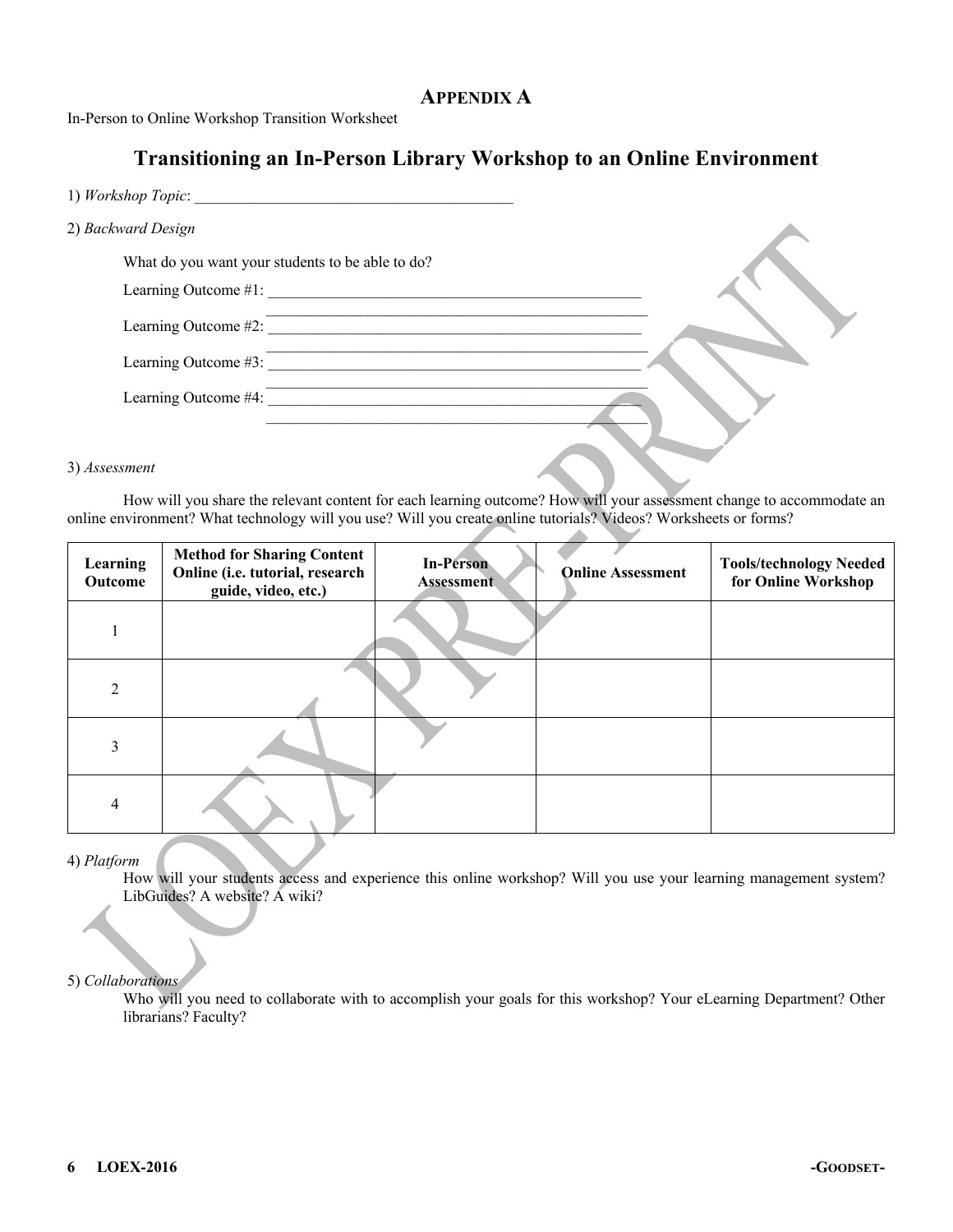## **APPENDIX A**

In-Person to Online Workshop Transition Worksheet

# **Transitioning an In-Person Library Workshop to an Online Environment**

| 1) Workshop Topic:   |                                                  |  |
|----------------------|--------------------------------------------------|--|
| 2) Backward Design   |                                                  |  |
|                      | What do you want your students to be able to do? |  |
| Learning Outcome #1: |                                                  |  |
| Learning Outcome #2: |                                                  |  |
| Learning Outcome #3: |                                                  |  |
| Learning Outcome #4: |                                                  |  |
|                      |                                                  |  |

#### 3) *Assessment*

How will you share the relevant content for each learning outcome? How will your assessment change to accommodate an online environment? What technology will you use? Will you create online tutorials? Videos? Worksheets or forms?

| Learning<br>Outcome | <b>Method for Sharing Content</b><br>Online (i.e. tutorial, research<br>guide, video, etc.) | <b>In-Person</b><br><b>Assessment</b> | <b>Online Assessment</b> | <b>Tools/technology Needed</b><br>for Online Workshop |
|---------------------|---------------------------------------------------------------------------------------------|---------------------------------------|--------------------------|-------------------------------------------------------|
|                     |                                                                                             |                                       |                          |                                                       |
| $\mathfrak{D}$      |                                                                                             |                                       |                          |                                                       |
| 3                   |                                                                                             |                                       |                          |                                                       |
| 4                   |                                                                                             |                                       |                          |                                                       |

#### 4) *Platform*

How will your students access and experience this online workshop? Will you use your learning management system? LibGuides? A website? A wiki?

#### 5) *Collaborations*

Who will you need to collaborate with to accomplish your goals for this workshop? Your eLearning Department? Other librarians? Faculty?